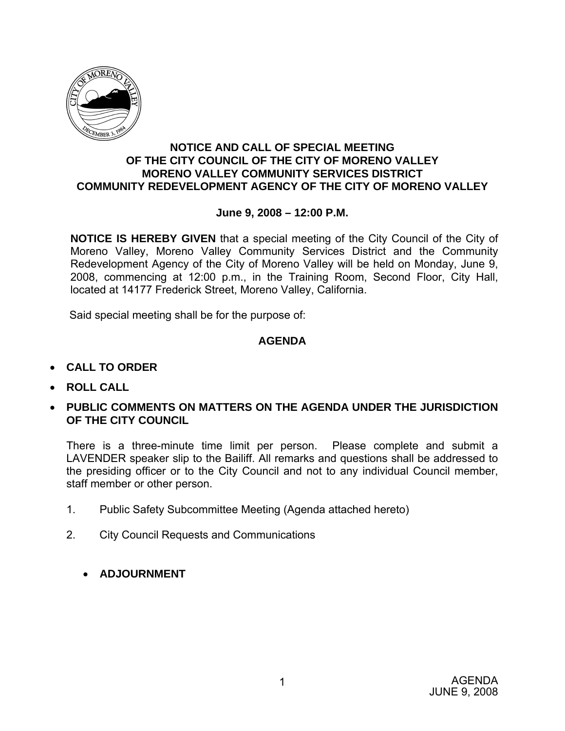

#### **NOTICE AND CALL OF SPECIAL MEETING OF THE CITY COUNCIL OF THE CITY OF MORENO VALLEY MORENO VALLEY COMMUNITY SERVICES DISTRICT COMMUNITY REDEVELOPMENT AGENCY OF THE CITY OF MORENO VALLEY**

### **June 9, 2008 – 12:00 P.M.**

**NOTICE IS HEREBY GIVEN** that a special meeting of the City Council of the City of Moreno Valley, Moreno Valley Community Services District and the Community Redevelopment Agency of the City of Moreno Valley will be held on Monday, June 9, 2008, commencing at 12:00 p.m., in the Training Room, Second Floor, City Hall, located at 14177 Frederick Street, Moreno Valley, California.

Said special meeting shall be for the purpose of:

## **AGENDA**

- **CALL TO ORDER**
- **ROLL CALL**
- **PUBLIC COMMENTS ON MATTERS ON THE AGENDA UNDER THE JURISDICTION OF THE CITY COUNCIL**

There is a three-minute time limit per person. Please complete and submit a LAVENDER speaker slip to the Bailiff. All remarks and questions shall be addressed to the presiding officer or to the City Council and not to any individual Council member, staff member or other person.

- 1. Public Safety Subcommittee Meeting (Agenda attached hereto)
- 2. City Council Requests and Communications
	- **ADJOURNMENT**